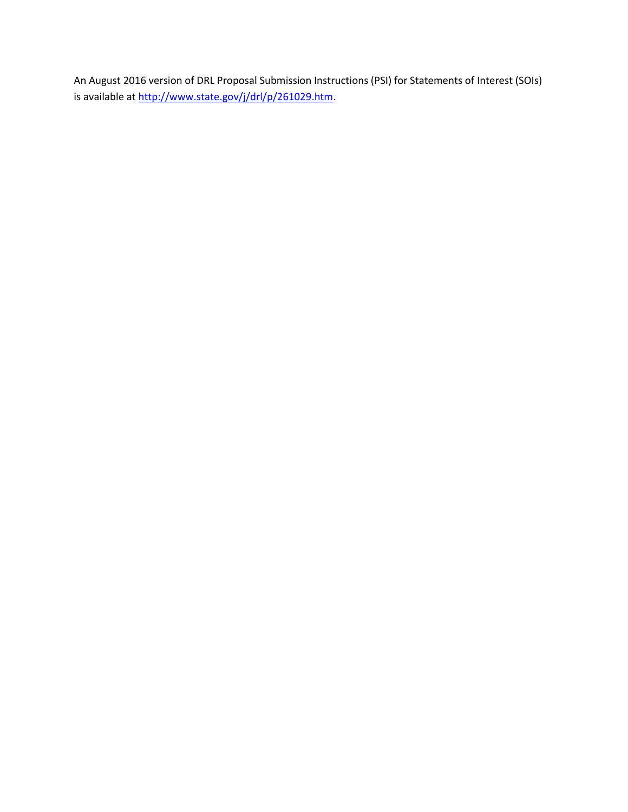An August 2016 version of DRL Proposal Submission Instructions (PSI) for Statements of Interest (SOIs) is available at [http://www.state.gov/j/drl/p/261029.htm.](http://www.state.gov/j/drl/p/261029.htm)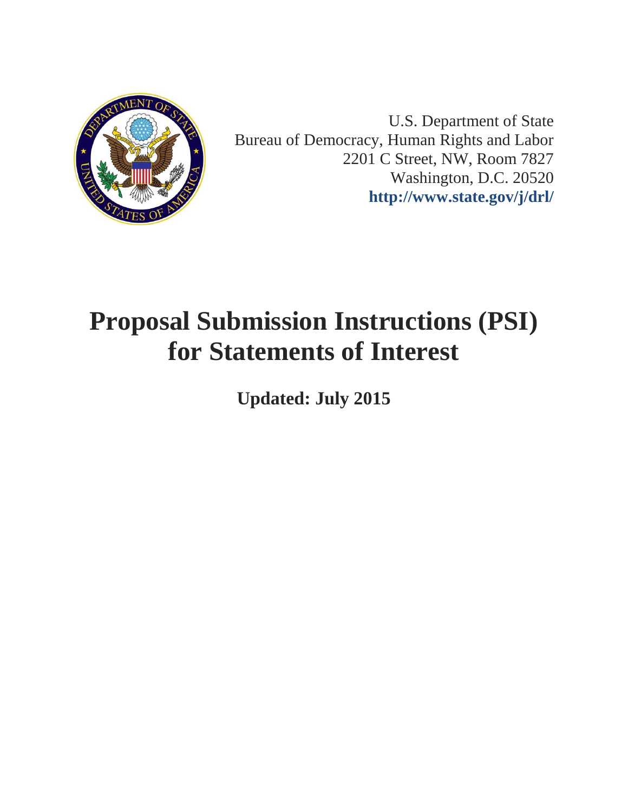

U.S. Department of State Bureau of Democracy, Human Rights and Labor 2201 C Street, NW, Room 7827 Washington, D.C. 20520 **<http://www.state.gov/j/drl/>**

# **Proposal Submission Instructions (PSI) for Statements of Interest**

**Updated: July 2015**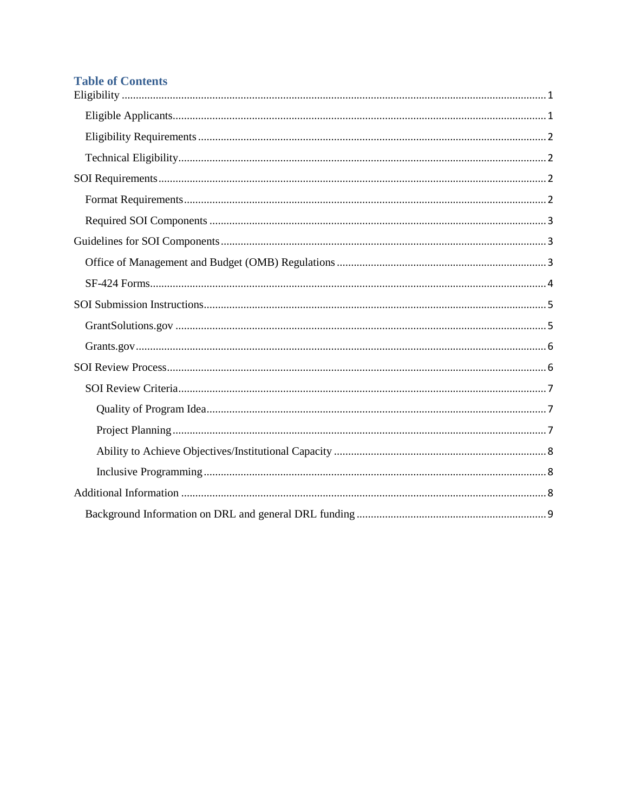# **Table of Contents**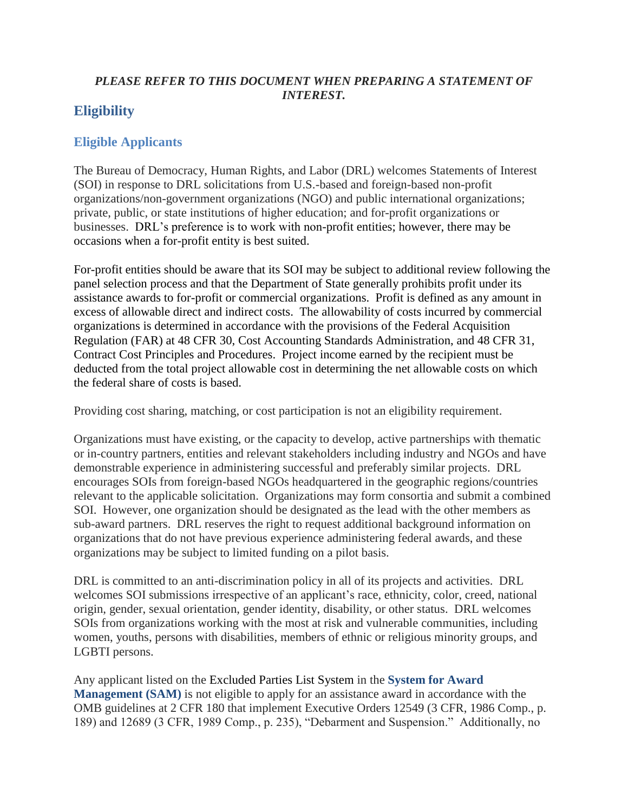## *PLEASE REFER TO THIS DOCUMENT WHEN PREPARING A STATEMENT OF INTEREST.*

# <span id="page-3-0"></span>**Eligibility**

## <span id="page-3-1"></span>**Eligible Applicants**

The Bureau of Democracy, Human Rights, and Labor (DRL) welcomes Statements of Interest (SOI) in response to DRL solicitations from U.S.-based and foreign-based non-profit organizations/non-government organizations (NGO) and public international organizations; private, public, or state institutions of higher education; and for-profit organizations or businesses. DRL's preference is to work with non-profit entities; however, there may be occasions when a for-profit entity is best suited.

For-profit entities should be aware that its SOI may be subject to additional review following the panel selection process and that the Department of State generally prohibits profit under its assistance awards to for-profit or commercial organizations. Profit is defined as any amount in excess of allowable direct and indirect costs. The allowability of costs incurred by commercial organizations is determined in accordance with the provisions of the Federal Acquisition Regulation (FAR) at 48 CFR 30, Cost Accounting Standards Administration, and 48 CFR 31, Contract Cost Principles and Procedures. Project income earned by the recipient must be deducted from the total project allowable cost in determining the net allowable costs on which the federal share of costs is based.

Providing cost sharing, matching, or cost participation is not an eligibility requirement.

Organizations must have existing, or the capacity to develop, active partnerships with thematic or in-country partners, entities and relevant stakeholders including industry and NGOs and have demonstrable experience in administering successful and preferably similar projects. DRL encourages SOIs from foreign-based NGOs headquartered in the geographic regions/countries relevant to the applicable solicitation. Organizations may form consortia and submit a combined SOI. However, one organization should be designated as the lead with the other members as sub-award partners. DRL reserves the right to request additional background information on organizations that do not have previous experience administering federal awards, and these organizations may be subject to limited funding on a pilot basis.

DRL is committed to an anti-discrimination policy in all of its projects and activities. DRL welcomes SOI submissions irrespective of an applicant's race, ethnicity, color, creed, national origin, gender, sexual orientation, gender identity, disability, or other status. DRL welcomes SOIs from organizations working with the most at risk and vulnerable communities, including women, youths, persons with disabilities, members of ethnic or religious minority groups, and LGBTI persons.

Any applicant listed on the Excluded Parties List System in the **[System for Award](https://www.sam.gov/)  [Management \(SAM\)](https://www.sam.gov/)** is not eligible to apply for an assistance award in accordance with the OMB guidelines at 2 CFR 180 that implement Executive Orders 12549 (3 CFR, 1986 Comp., p. 189) and 12689 (3 CFR, 1989 Comp., p. 235), "Debarment and Suspension." Additionally, no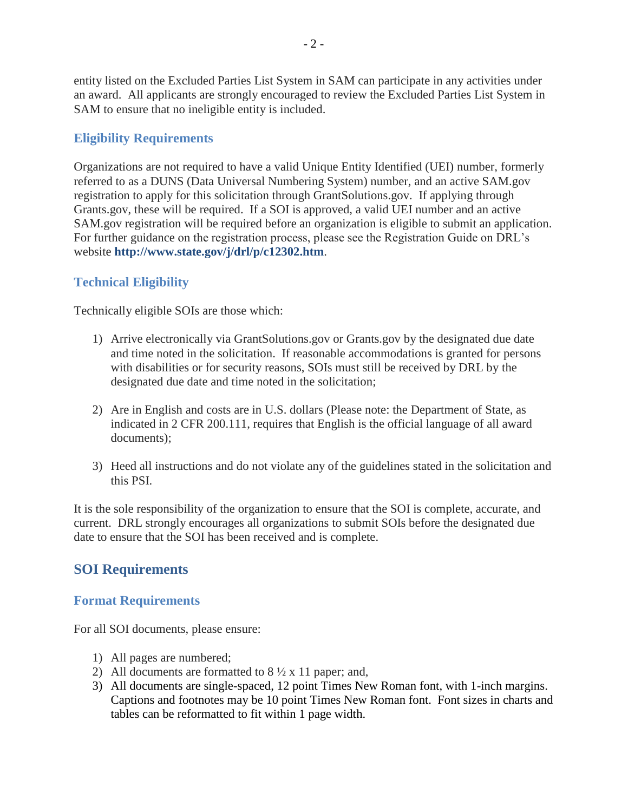entity listed on the Excluded Parties List System in SAM can participate in any activities under an award. All applicants are strongly encouraged to review the Excluded Parties List System in SAM to ensure that no ineligible entity is included.

## <span id="page-4-0"></span>**Eligibility Requirements**

Organizations are not required to have a valid Unique Entity Identified (UEI) number, formerly referred to as a DUNS (Data Universal Numbering System) number, and an active SAM.gov registration to apply for this solicitation through GrantSolutions.gov. If applying through Grants.gov, these will be required. If a SOI is approved, a valid UEI number and an active SAM.gov registration will be required before an organization is eligible to submit an application. For further guidance on the registration process, please see the Registration Guide on DRL's website **<http://www.state.gov/j/drl/p/c12302.htm>**.

# <span id="page-4-1"></span>**Technical Eligibility**

Technically eligible SOIs are those which:

- 1) Arrive electronically via GrantSolutions.gov or Grants.gov by the designated due date and time noted in the solicitation. If reasonable accommodations is granted for persons with disabilities or for security reasons, SOIs must still be received by DRL by the designated due date and time noted in the solicitation;
- 2) Are in English and costs are in U.S. dollars (Please note: the Department of State, as indicated in 2 CFR 200.111, requires that English is the official language of all award documents);
- 3) Heed all instructions and do not violate any of the guidelines stated in the solicitation and this PSI.

It is the sole responsibility of the organization to ensure that the SOI is complete, accurate, and current. DRL strongly encourages all organizations to submit SOIs before the designated due date to ensure that the SOI has been received and is complete.

# <span id="page-4-2"></span>**SOI Requirements**

## <span id="page-4-3"></span>**Format Requirements**

For all SOI documents, please ensure:

- 1) All pages are numbered;
- 2) All documents are formatted to  $8\frac{1}{2}$  x 11 paper; and,
- 3) All documents are single-spaced, 12 point Times New Roman font, with 1-inch margins. Captions and footnotes may be 10 point Times New Roman font. Font sizes in charts and tables can be reformatted to fit within 1 page width.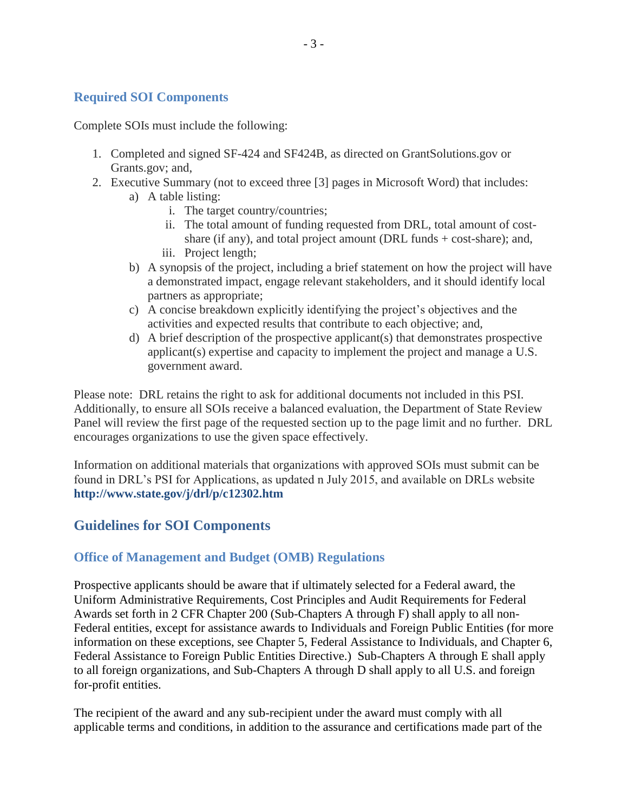## <span id="page-5-0"></span>**Required SOI Components**

Complete SOIs must include the following:

- 1. Completed and signed SF-424 and SF424B, as directed on GrantSolutions.gov or Grants.gov; and,
- 2. Executive Summary (not to exceed three [3] pages in Microsoft Word) that includes: a) A table listing:
	- i. The target country/countries;
		- ii. The total amount of funding requested from DRL, total amount of costshare (if any), and total project amount (DRL funds + cost-share); and,
		- iii. Project length;
	- b) A synopsis of the project, including a brief statement on how the project will have a demonstrated impact, engage relevant stakeholders, and it should identify local partners as appropriate;
	- c) A concise breakdown explicitly identifying the project's objectives and the activities and expected results that contribute to each objective; and,
	- d) A brief description of the prospective applicant(s) that demonstrates prospective applicant(s) expertise and capacity to implement the project and manage a U.S. government award.

Please note: DRL retains the right to ask for additional documents not included in this PSI. Additionally, to ensure all SOIs receive a balanced evaluation, the Department of State Review Panel will review the first page of the requested section up to the page limit and no further. DRL encourages organizations to use the given space effectively.

Information on additional materials that organizations with approved SOIs must submit can be found in DRL's PSI for Applications, as updated n July 2015, and available on DRLs website **<http://www.state.gov/j/drl/p/c12302.htm>**

## <span id="page-5-1"></span>**Guidelines for SOI Components**

### <span id="page-5-2"></span>**Office of Management and Budget (OMB) Regulations**

Prospective applicants should be aware that if ultimately selected for a Federal award, the Uniform Administrative Requirements, Cost Principles and Audit Requirements for Federal Awards set forth in 2 CFR Chapter 200 (Sub-Chapters A through F) shall apply to all non-Federal entities, except for assistance awards to Individuals and Foreign Public Entities (for more information on these exceptions, see Chapter 5, Federal Assistance to Individuals, and Chapter 6, Federal Assistance to Foreign Public Entities Directive.) Sub-Chapters A through E shall apply to all foreign organizations, and Sub-Chapters A through D shall apply to all U.S. and foreign for-profit entities.

The recipient of the award and any sub-recipient under the award must comply with all applicable terms and conditions, in addition to the assurance and certifications made part of the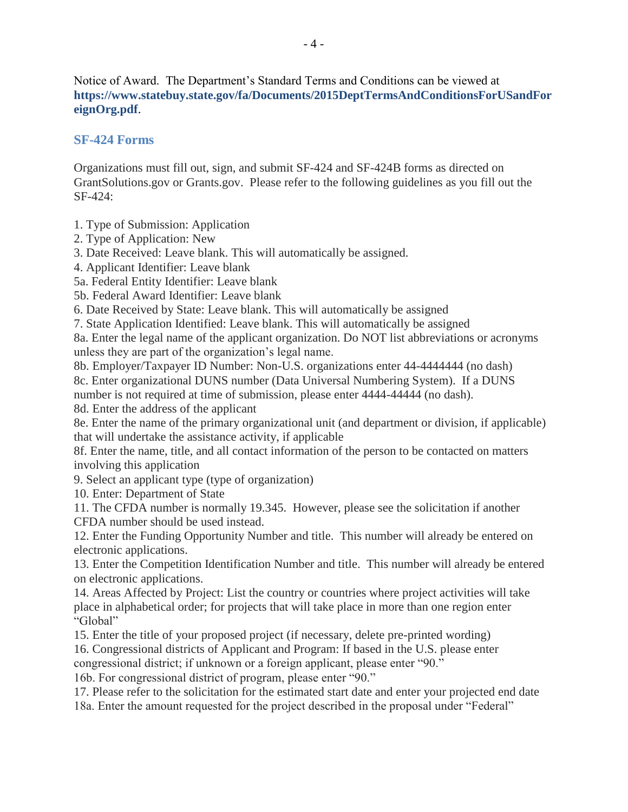Notice of Award. The Department's Standard Terms and Conditions can be viewed at **[https://www.statebuy.state.gov/fa/Documents/2015DeptTermsAndConditionsForUSandFor](https://www.statebuy.state.gov/fa/Documents/2015DeptTermsAndConditionsForUSandForeignOrg.pdf) [eignOrg.pdf](https://www.statebuy.state.gov/fa/Documents/2015DeptTermsAndConditionsForUSandForeignOrg.pdf)**.

## <span id="page-6-0"></span>**SF-424 Forms**

Organizations must fill out, sign, and submit SF-424 and SF-424B forms as directed on GrantSolutions.gov or Grants.gov. Please refer to the following guidelines as you fill out the SF-424:

1. Type of Submission: Application

2. Type of Application: New

3. Date Received: Leave blank. This will automatically be assigned.

4. Applicant Identifier: Leave blank

5a. Federal Entity Identifier: Leave blank

5b. Federal Award Identifier: Leave blank

6. Date Received by State: Leave blank. This will automatically be assigned

7. State Application Identified: Leave blank. This will automatically be assigned

8a. Enter the legal name of the applicant organization. Do NOT list abbreviations or acronyms unless they are part of the organization's legal name.

8b. Employer/Taxpayer ID Number: Non-U.S. organizations enter 44-4444444 (no dash) 8c. Enter organizational DUNS number (Data Universal Numbering System). If a DUNS number is not required at time of submission, please enter 4444-44444 (no dash).

8d. Enter the address of the applicant

8e. Enter the name of the primary organizational unit (and department or division, if applicable) that will undertake the assistance activity, if applicable

8f. Enter the name, title, and all contact information of the person to be contacted on matters involving this application

9. Select an applicant type (type of organization)

10. Enter: Department of State

11. The CFDA number is normally 19.345. However, please see the solicitation if another CFDA number should be used instead.

12. Enter the Funding Opportunity Number and title. This number will already be entered on electronic applications.

13. Enter the Competition Identification Number and title. This number will already be entered on electronic applications.

14. Areas Affected by Project: List the country or countries where project activities will take place in alphabetical order; for projects that will take place in more than one region enter "Global"

15. Enter the title of your proposed project (if necessary, delete pre-printed wording)

16. Congressional districts of Applicant and Program: If based in the U.S. please enter congressional district; if unknown or a foreign applicant, please enter "90."

16b. For congressional district of program, please enter "90."

17. Please refer to the solicitation for the estimated start date and enter your projected end date

18a. Enter the amount requested for the project described in the proposal under "Federal"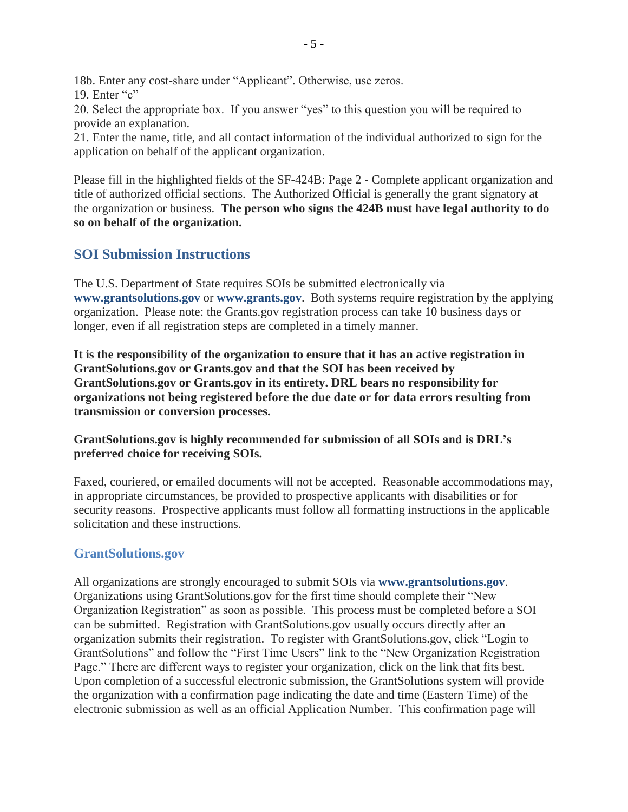18b. Enter any cost-share under "Applicant". Otherwise, use zeros.

19. Enter "c"

20. Select the appropriate box. If you answer "yes" to this question you will be required to provide an explanation.

21. Enter the name, title, and all contact information of the individual authorized to sign for the application on behalf of the applicant organization.

Please fill in the highlighted fields of the SF-424B: Page 2 - Complete applicant organization and title of authorized official sections. The Authorized Official is generally the grant signatory at the organization or business. **The person who signs the 424B must have legal authority to do so on behalf of the organization.** 

# <span id="page-7-0"></span>**SOI Submission Instructions**

The U.S. Department of State requires SOIs be submitted electronically via **[www.grantsolutions.gov](http://www.grantsolutions.gov/)** or **[www.grants.gov](http://www.grants.gov/)**. Both systems require registration by the applying organization. Please note: the Grants.gov registration process can take 10 business days or longer, even if all registration steps are completed in a timely manner.

**It is the responsibility of the organization to ensure that it has an active registration in GrantSolutions.gov or Grants.gov and that the SOI has been received by GrantSolutions.gov or Grants.gov in its entirety. DRL bears no responsibility for organizations not being registered before the due date or for data errors resulting from transmission or conversion processes.** 

**GrantSolutions.gov is highly recommended for submission of all SOIs and is DRL's preferred choice for receiving SOIs.**

Faxed, couriered, or emailed documents will not be accepted. Reasonable accommodations may, in appropriate circumstances, be provided to prospective applicants with disabilities or for security reasons. Prospective applicants must follow all formatting instructions in the applicable solicitation and these instructions.

## <span id="page-7-1"></span>**GrantSolutions.gov**

All organizations are strongly encouraged to submit SOIs via **[www.grantsolutions.gov](http://www.grantsolutions.gov/)**. Organizations using GrantSolutions.gov for the first time should complete their "New Organization Registration" as soon as possible. This process must be completed before a SOI can be submitted. Registration with GrantSolutions.gov usually occurs directly after an organization submits their registration. To register with GrantSolutions.gov, click "Login to GrantSolutions" and follow the "First Time Users" link to the "New Organization Registration Page." There are different ways to register your organization, click on the link that fits best. Upon completion of a successful electronic submission, the GrantSolutions system will provide the organization with a confirmation page indicating the date and time (Eastern Time) of the electronic submission as well as an official Application Number. This confirmation page will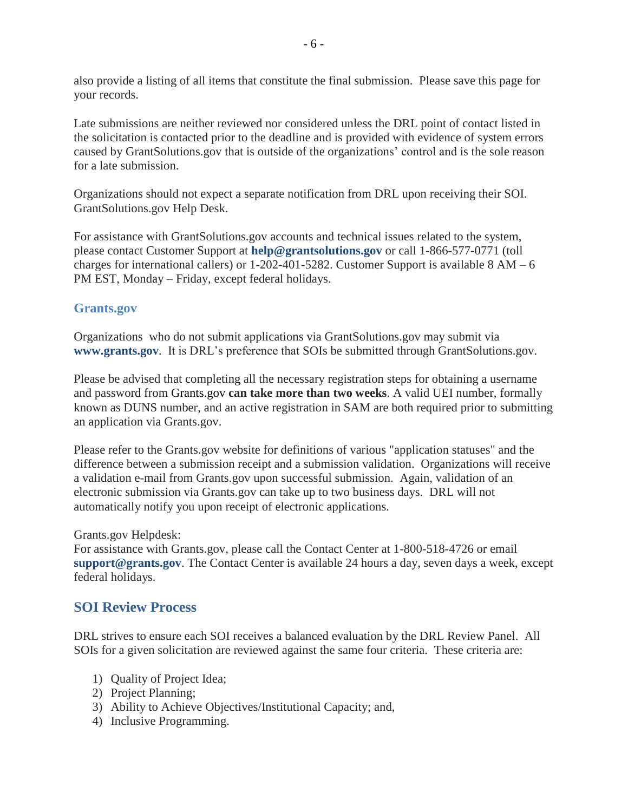also provide a listing of all items that constitute the final submission. Please save this page for your records.

Late submissions are neither reviewed nor considered unless the DRL point of contact listed in the solicitation is contacted prior to the deadline and is provided with evidence of system errors caused by GrantSolutions.gov that is outside of the organizations' control and is the sole reason for a late submission.

Organizations should not expect a separate notification from DRL upon receiving their SOI. GrantSolutions.gov Help Desk.

For assistance with GrantSolutions.gov accounts and technical issues related to the system, please contact Customer Support at **[help@grantsolutions.gov](mailto:help@grantsolutions.gov)** or call 1-866-577-0771 (toll charges for international callers) or  $1-202-401-5282$ . Customer Support is available  $8 AM - 6$ PM EST, Monday – Friday, except federal holidays.

## <span id="page-8-0"></span>**Grants.gov**

Organizations who do not submit applications via GrantSolutions.gov may submit via **[www.grants.gov](http://www.grants.gov/)**. It is DRL's preference that SOIs be submitted through GrantSolutions.gov.

Please be advised that completing all the necessary registration steps for obtaining a username and password from Grants.gov **can take more than two weeks**. A valid UEI number, formally known as DUNS number, and an active registration in SAM are both required prior to submitting an application via Grants.gov.

Please refer to the Grants.gov website for definitions of various "application statuses" and the difference between a submission receipt and a submission validation. Organizations will receive a validation e-mail from Grants.gov upon successful submission. Again, validation of an electronic submission via Grants.gov can take up to two business days. DRL will not automatically notify you upon receipt of electronic applications.

#### Grants.gov Helpdesk:

For assistance with Grants.gov, please call the Contact Center at 1-800-518-4726 or email **[support@grants.gov](mailto:support@grants.gov)**. The Contact Center is available 24 hours a day, seven days a week, except federal holidays.

## <span id="page-8-1"></span>**SOI Review Process**

DRL strives to ensure each SOI receives a balanced evaluation by the DRL Review Panel. All SOIs for a given solicitation are reviewed against the same four criteria. These criteria are:

- 1) Quality of Project Idea;
- 2) Project Planning;
- 3) Ability to Achieve Objectives/Institutional Capacity; and,
- 4) Inclusive Programming.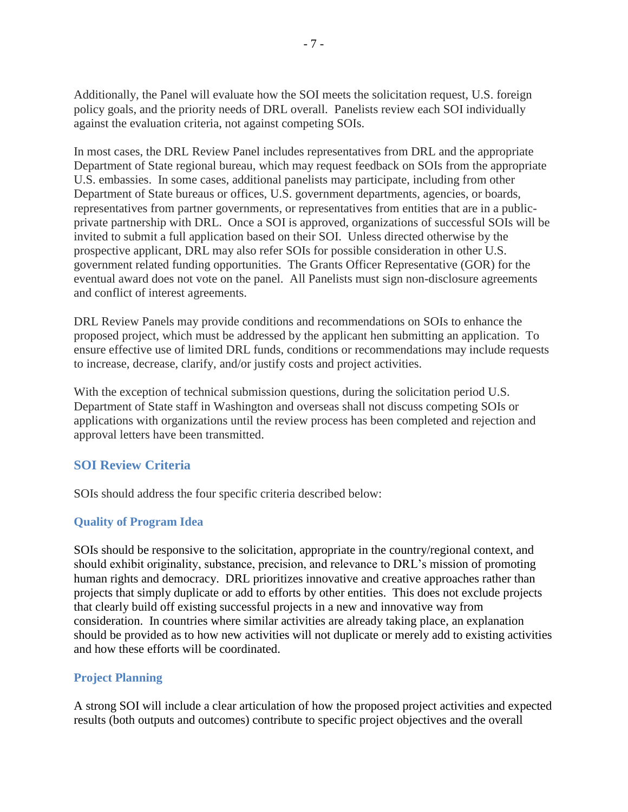Additionally, the Panel will evaluate how the SOI meets the solicitation request, U.S. foreign policy goals, and the priority needs of DRL overall. Panelists review each SOI individually against the evaluation criteria, not against competing SOIs.

In most cases, the DRL Review Panel includes representatives from DRL and the appropriate Department of State regional bureau, which may request feedback on SOIs from the appropriate U.S. embassies. In some cases, additional panelists may participate, including from other Department of State bureaus or offices, U.S. government departments, agencies, or boards, representatives from partner governments, or representatives from entities that are in a publicprivate partnership with DRL. Once a SOI is approved, organizations of successful SOIs will be invited to submit a full application based on their SOI. Unless directed otherwise by the prospective applicant, DRL may also refer SOIs for possible consideration in other U.S. government related funding opportunities. The Grants Officer Representative (GOR) for the eventual award does not vote on the panel. All Panelists must sign non-disclosure agreements and conflict of interest agreements.

DRL Review Panels may provide conditions and recommendations on SOIs to enhance the proposed project, which must be addressed by the applicant hen submitting an application. To ensure effective use of limited DRL funds, conditions or recommendations may include requests to increase, decrease, clarify, and/or justify costs and project activities.

With the exception of technical submission questions, during the solicitation period U.S. Department of State staff in Washington and overseas shall not discuss competing SOIs or applications with organizations until the review process has been completed and rejection and approval letters have been transmitted.

## <span id="page-9-0"></span>**SOI Review Criteria**

SOIs should address the four specific criteria described below:

### <span id="page-9-1"></span>**Quality of Program Idea**

SOIs should be responsive to the solicitation, appropriate in the country/regional context, and should exhibit originality, substance, precision, and relevance to DRL's mission of promoting human rights and democracy. DRL prioritizes innovative and creative approaches rather than projects that simply duplicate or add to efforts by other entities. This does not exclude projects that clearly build off existing successful projects in a new and innovative way from consideration. In countries where similar activities are already taking place, an explanation should be provided as to how new activities will not duplicate or merely add to existing activities and how these efforts will be coordinated.

#### <span id="page-9-2"></span>**Project Planning**

A strong SOI will include a clear articulation of how the proposed project activities and expected results (both outputs and outcomes) contribute to specific project objectives and the overall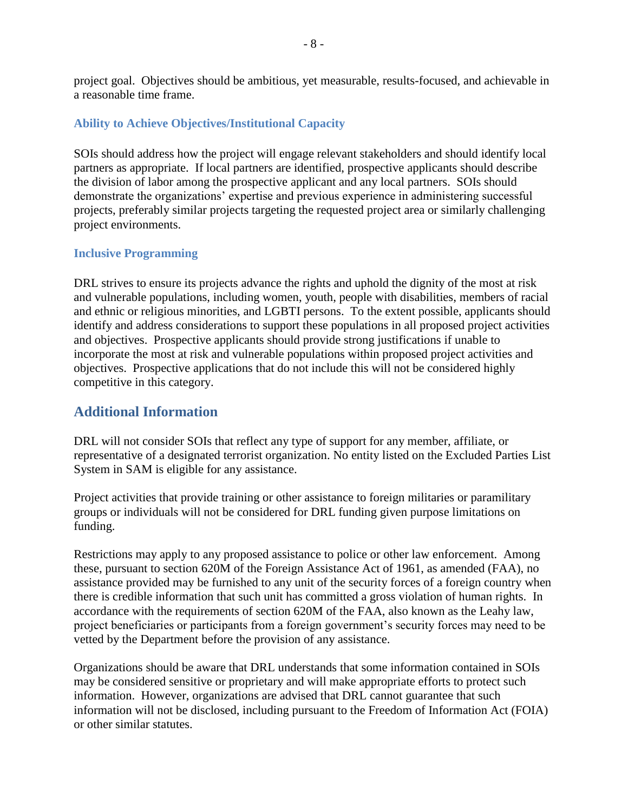project goal. Objectives should be ambitious, yet measurable, results-focused, and achievable in a reasonable time frame.

#### <span id="page-10-0"></span>**Ability to Achieve Objectives/Institutional Capacity**

SOIs should address how the project will engage relevant stakeholders and should identify local partners as appropriate. If local partners are identified, prospective applicants should describe the division of labor among the prospective applicant and any local partners. SOIs should demonstrate the organizations' expertise and previous experience in administering successful projects, preferably similar projects targeting the requested project area or similarly challenging project environments.

#### <span id="page-10-1"></span>**Inclusive Programming**

DRL strives to ensure its projects advance the rights and uphold the dignity of the most at risk and vulnerable populations, including women, youth, people with disabilities, members of racial and ethnic or religious minorities, and LGBTI persons. To the extent possible, applicants should identify and address considerations to support these populations in all proposed project activities and objectives. Prospective applicants should provide strong justifications if unable to incorporate the most at risk and vulnerable populations within proposed project activities and objectives. Prospective applications that do not include this will not be considered highly competitive in this category.

# <span id="page-10-2"></span>**Additional Information**

DRL will not consider SOIs that reflect any type of support for any member, affiliate, or representative of a designated terrorist organization. No entity listed on the Excluded Parties List System in SAM is eligible for any assistance.

Project activities that provide training or other assistance to foreign militaries or paramilitary groups or individuals will not be considered for DRL funding given purpose limitations on funding.

Restrictions may apply to any proposed assistance to police or other law enforcement. Among these, pursuant to section 620M of the Foreign Assistance Act of 1961, as amended (FAA), no assistance provided may be furnished to any unit of the security forces of a foreign country when there is credible information that such unit has committed a gross violation of human rights. In accordance with the requirements of section 620M of the FAA, also known as the Leahy law, project beneficiaries or participants from a foreign government's security forces may need to be vetted by the Department before the provision of any assistance.

Organizations should be aware that DRL understands that some information contained in SOIs may be considered sensitive or proprietary and will make appropriate efforts to protect such information. However, organizations are advised that DRL cannot guarantee that such information will not be disclosed, including pursuant to the Freedom of Information Act (FOIA) or other similar statutes.